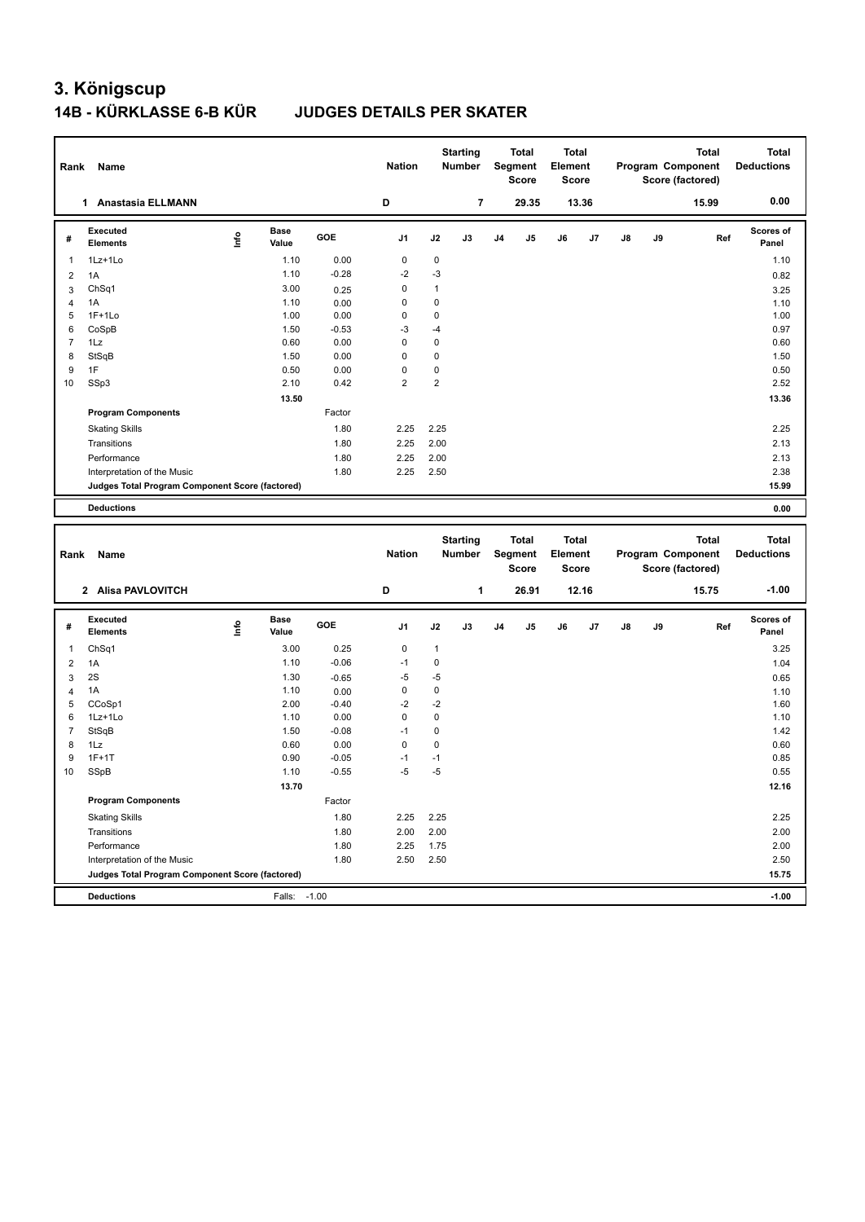# **3. Königscup 14B - KÜRKLASSE 6-B KÜR JUDGES DETAILS PER SKATER**

| Rank           | Name                                            |      |                      |                 | <b>Nation</b>  |                   | <b>Starting</b><br><b>Number</b> |                | Total<br>Segment<br><b>Score</b> | Total<br>Element<br>Score |       |    |    | <b>Total</b><br>Program Component<br>Score (factored) | <b>Total</b><br><b>Deductions</b> |
|----------------|-------------------------------------------------|------|----------------------|-----------------|----------------|-------------------|----------------------------------|----------------|----------------------------------|---------------------------|-------|----|----|-------------------------------------------------------|-----------------------------------|
|                | 1 Anastasia ELLMANN                             |      |                      |                 | D              |                   | $\overline{7}$                   |                | 29.35                            |                           | 13.36 |    |    | 15.99                                                 | 0.00                              |
| #              | Executed<br><b>Elements</b>                     | lnfo | <b>Base</b><br>Value | GOE             | J1             | J2                | J3                               | J <sub>4</sub> | J5                               | J6                        | J7    | J8 | J9 | Ref                                                   | Scores of<br>Panel                |
| $\mathbf{1}$   | 1Lz+1Lo                                         |      | 1.10                 | 0.00            | 0              | $\mathbf 0$       |                                  |                |                                  |                           |       |    |    |                                                       | 1.10                              |
| $\overline{2}$ | 1A                                              |      | 1.10                 | $-0.28$         | $-2$           | $-3$              |                                  |                |                                  |                           |       |    |    |                                                       | 0.82                              |
| 3              | ChSq1                                           |      | 3.00                 | 0.25            | 0              | $\mathbf{1}$      |                                  |                |                                  |                           |       |    |    |                                                       | 3.25                              |
| 4              | 1A                                              |      | 1.10                 | 0.00            | $\mathbf 0$    | $\mathbf 0$       |                                  |                |                                  |                           |       |    |    |                                                       | 1.10                              |
| 5              | $1F+1Lo$                                        |      | 1.00                 | 0.00            | 0              | $\mathbf 0$       |                                  |                |                                  |                           |       |    |    |                                                       | 1.00                              |
| 6              | CoSpB                                           |      | 1.50                 | $-0.53$         | -3             | $-4$              |                                  |                |                                  |                           |       |    |    |                                                       | 0.97                              |
| 7              | 1Lz                                             |      | 0.60                 | 0.00            | $\pmb{0}$      | $\mathbf 0$       |                                  |                |                                  |                           |       |    |    |                                                       | 0.60                              |
| 8              | StSqB                                           |      | 1.50                 | 0.00            | 0              | $\mathbf 0$       |                                  |                |                                  |                           |       |    |    |                                                       | 1.50                              |
| 9              | 1F                                              |      | 0.50                 | 0.00            | $\mathbf 0$    | $\mathbf 0$       |                                  |                |                                  |                           |       |    |    |                                                       | 0.50                              |
| 10             | SSp3                                            |      | 2.10                 | 0.42            | $\overline{2}$ | $\boldsymbol{2}$  |                                  |                |                                  |                           |       |    |    |                                                       | 2.52                              |
|                |                                                 |      | 13.50                |                 |                |                   |                                  |                |                                  |                           |       |    |    |                                                       | 13.36                             |
|                | <b>Program Components</b>                       |      |                      | Factor          |                |                   |                                  |                |                                  |                           |       |    |    |                                                       |                                   |
|                | <b>Skating Skills</b>                           |      |                      | 1.80            | 2.25           | 2.25              |                                  |                |                                  |                           |       |    |    |                                                       | 2.25                              |
|                | Transitions                                     |      |                      | 1.80            | 2.25           | 2.00              |                                  |                |                                  |                           |       |    |    |                                                       | 2.13                              |
|                | Performance                                     |      |                      | 1.80            | 2.25           | 2.00              |                                  |                |                                  |                           |       |    |    |                                                       | 2.13                              |
|                | Interpretation of the Music                     |      |                      | 1.80            | 2.25           | 2.50              |                                  |                |                                  |                           |       |    |    |                                                       | 2.38                              |
|                | Judges Total Program Component Score (factored) |      |                      |                 |                |                   |                                  |                |                                  |                           |       |    |    |                                                       | 15.99                             |
|                | <b>Deductions</b>                               |      |                      |                 |                |                   |                                  |                |                                  |                           |       |    |    |                                                       | 0.00                              |
|                |                                                 |      |                      |                 |                |                   |                                  |                |                                  |                           |       |    |    |                                                       |                                   |
|                |                                                 |      |                      |                 |                |                   |                                  |                |                                  |                           |       |    |    |                                                       |                                   |
|                |                                                 |      |                      |                 |                |                   | <b>Starting</b>                  |                | <b>Total</b>                     | Total                     |       |    |    | <b>Total</b>                                          | <b>Total</b>                      |
| Rank           | Name                                            |      |                      |                 | <b>Nation</b>  |                   | <b>Number</b>                    |                | Segment                          | Element                   |       |    |    | Program Component                                     | <b>Deductions</b>                 |
|                |                                                 |      |                      |                 |                |                   |                                  |                | <b>Score</b>                     | <b>Score</b>              |       |    |    | Score (factored)                                      |                                   |
|                | 2 Alisa PAVLOVITCH                              |      |                      |                 | D              |                   | 1                                |                | 26.91                            |                           | 12.16 |    |    | 15.75                                                 | $-1.00$                           |
|                |                                                 |      |                      |                 |                |                   |                                  |                |                                  |                           |       |    |    |                                                       |                                   |
| #              | Executed<br><b>Elements</b>                     | lnfo | Base<br>Value        | GOE             | J1             | J2                | J3                               | J <sub>4</sub> | J5                               | J6                        | J7    | J8 | J9 | Ref                                                   | <b>Scores of</b><br>Panel         |
| $\mathbf{1}$   |                                                 |      |                      |                 |                |                   |                                  |                |                                  |                           |       |    |    |                                                       |                                   |
|                | ChSq1                                           |      | 3.00                 | 0.25            | 0<br>$-1$      | $\mathbf{1}$      |                                  |                |                                  |                           |       |    |    |                                                       | 3.25                              |
| $\overline{2}$ | 1A                                              |      | 1.10                 | $-0.06$         |                | $\mathbf 0$       |                                  |                |                                  |                           |       |    |    |                                                       | 1.04                              |
| 3              | 2S<br>1A                                        |      | 1.30<br>1.10         | $-0.65$         | $-5$<br>0      | -5<br>$\mathsf 0$ |                                  |                |                                  |                           |       |    |    |                                                       | 0.65                              |
| 4<br>5         | CCoSp1                                          |      | 2.00                 | 0.00<br>$-0.40$ | $-2$           | $-2$              |                                  |                |                                  |                           |       |    |    |                                                       | 1.10<br>1.60                      |
| 6              | 1Lz+1Lo                                         |      | 1.10                 | 0.00            | 0              | $\mathbf 0$       |                                  |                |                                  |                           |       |    |    |                                                       | 1.10                              |
| $\overline{7}$ | StSqB                                           |      | 1.50                 | $-0.08$         | $-1$           | $\mathbf 0$       |                                  |                |                                  |                           |       |    |    |                                                       | 1.42                              |
| 8              | 1Lz                                             |      | 0.60                 | 0.00            | 0              | $\mathbf 0$       |                                  |                |                                  |                           |       |    |    |                                                       | 0.60                              |
| 9              | $1F+1T$                                         |      | 0.90                 | $-0.05$         | $-1$           | $-1$              |                                  |                |                                  |                           |       |    |    |                                                       | 0.85                              |
| 10             | SSpB                                            |      | 1.10                 | $-0.55$         | $-5$           | $-5$              |                                  |                |                                  |                           |       |    |    |                                                       | 0.55                              |
|                |                                                 |      | 13.70                |                 |                |                   |                                  |                |                                  |                           |       |    |    |                                                       | 12.16                             |
|                | <b>Program Components</b>                       |      |                      | Factor          |                |                   |                                  |                |                                  |                           |       |    |    |                                                       |                                   |
|                | <b>Skating Skills</b>                           |      |                      | 1.80            | 2.25           | 2.25              |                                  |                |                                  |                           |       |    |    |                                                       | 2.25                              |
|                | Transitions                                     |      |                      | 1.80            | 2.00           | 2.00              |                                  |                |                                  |                           |       |    |    |                                                       | 2.00                              |
|                | Performance                                     |      |                      | 1.80            | 2.25           | 1.75              |                                  |                |                                  |                           |       |    |    |                                                       | 2.00                              |
|                | Interpretation of the Music                     |      |                      | 1.80            | 2.50           | 2.50              |                                  |                |                                  |                           |       |    |    |                                                       | 2.50                              |
|                | Judges Total Program Component Score (factored) |      |                      |                 |                |                   |                                  |                |                                  |                           |       |    |    |                                                       | 15.75                             |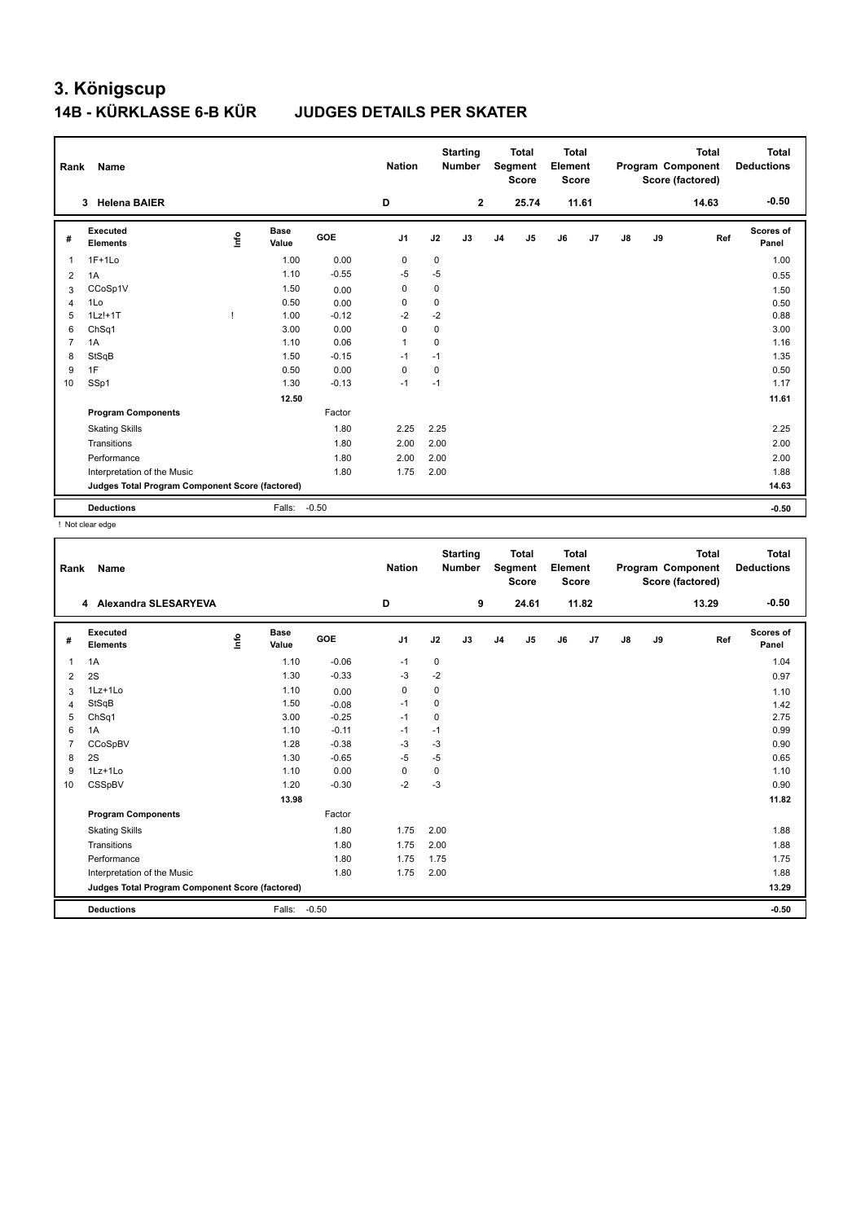# **3. Königscup 14B - KÜRKLASSE 6-B KÜR JUDGES DETAILS PER SKATER**

| Rank           | Name                                            |      |                      |            | <b>Nation</b>  |      | <b>Starting</b><br><b>Total</b><br><b>Number</b><br>Segment<br><b>Score</b> |                | <b>Total</b><br>Element<br><b>Score</b> |    | <b>Total</b><br>Program Component<br>Score (factored) |               |    | <b>Total</b><br><b>Deductions</b> |                    |
|----------------|-------------------------------------------------|------|----------------------|------------|----------------|------|-----------------------------------------------------------------------------|----------------|-----------------------------------------|----|-------------------------------------------------------|---------------|----|-----------------------------------|--------------------|
|                | <b>Helena BAIER</b><br>3                        |      |                      |            | D              |      | $\mathbf 2$                                                                 |                | 25.74                                   |    | 11.61                                                 |               |    | 14.63                             | $-0.50$            |
| #              | Executed<br><b>Elements</b>                     | lnfo | <b>Base</b><br>Value | <b>GOE</b> | J <sub>1</sub> | J2   | J3                                                                          | J <sub>4</sub> | J <sub>5</sub>                          | J6 | J7                                                    | $\mathsf{J}8$ | J9 | Ref                               | Scores of<br>Panel |
| 1              | $1F+1Lo$                                        |      | 1.00                 | 0.00       | 0              | 0    |                                                                             |                |                                         |    |                                                       |               |    |                                   | 1.00               |
| 2              | 1A                                              |      | 1.10                 | $-0.55$    | $-5$           | $-5$ |                                                                             |                |                                         |    |                                                       |               |    |                                   | 0.55               |
| 3              | CCoSp1V                                         |      | 1.50                 | 0.00       | 0              | 0    |                                                                             |                |                                         |    |                                                       |               |    |                                   | 1.50               |
| 4              | 1Lo                                             |      | 0.50                 | 0.00       | 0              | 0    |                                                                             |                |                                         |    |                                                       |               |    |                                   | 0.50               |
| 5              | $1Lz! + 1T$                                     |      | 1.00                 | $-0.12$    | $-2$           | $-2$ |                                                                             |                |                                         |    |                                                       |               |    |                                   | 0.88               |
| 6              | ChSq1                                           |      | 3.00                 | 0.00       | 0              | 0    |                                                                             |                |                                         |    |                                                       |               |    |                                   | 3.00               |
| $\overline{7}$ | 1A                                              |      | 1.10                 | 0.06       | 1              | 0    |                                                                             |                |                                         |    |                                                       |               |    |                                   | 1.16               |
| 8              | StSqB                                           |      | 1.50                 | $-0.15$    | $-1$           | $-1$ |                                                                             |                |                                         |    |                                                       |               |    |                                   | 1.35               |
| 9              | 1F                                              |      | 0.50                 | 0.00       | 0              | 0    |                                                                             |                |                                         |    |                                                       |               |    |                                   | 0.50               |
| 10             | SSp1                                            |      | 1.30                 | $-0.13$    | $-1$           | $-1$ |                                                                             |                |                                         |    |                                                       |               |    |                                   | 1.17               |
|                |                                                 |      | 12.50                |            |                |      |                                                                             |                |                                         |    |                                                       |               |    |                                   | 11.61              |
|                | <b>Program Components</b>                       |      |                      | Factor     |                |      |                                                                             |                |                                         |    |                                                       |               |    |                                   |                    |
|                | <b>Skating Skills</b>                           |      |                      | 1.80       | 2.25           | 2.25 |                                                                             |                |                                         |    |                                                       |               |    |                                   | 2.25               |
|                | Transitions                                     |      |                      | 1.80       | 2.00           | 2.00 |                                                                             |                |                                         |    |                                                       |               |    |                                   | 2.00               |
|                | Performance                                     |      |                      | 1.80       | 2.00           | 2.00 |                                                                             |                |                                         |    |                                                       |               |    |                                   | 2.00               |
|                | Interpretation of the Music                     |      |                      | 1.80       | 1.75           | 2.00 |                                                                             |                |                                         |    |                                                       |               |    |                                   | 1.88               |
|                | Judges Total Program Component Score (factored) |      |                      |            |                |      |                                                                             |                |                                         |    |                                                       |               |    |                                   | 14.63              |
|                | <b>Deductions</b>                               |      | Falls:               | $-0.50$    |                |      |                                                                             |                |                                         |    |                                                       |               |    |                                   | $-0.50$            |

! Not clear edge

| Rank           | Name                                            |      |                      |         | <b>Nation</b>  |      | <b>Starting</b><br><b>Number</b> |                | <b>Total</b><br>Segment<br><b>Score</b> | <b>Total</b><br>Element<br>Score |       |               |    | <b>Total</b><br>Program Component<br>Score (factored) | <b>Total</b><br><b>Deductions</b> |
|----------------|-------------------------------------------------|------|----------------------|---------|----------------|------|----------------------------------|----------------|-----------------------------------------|----------------------------------|-------|---------------|----|-------------------------------------------------------|-----------------------------------|
|                | <b>Alexandra SLESARYEVA</b><br>4                |      |                      |         | D              |      | 9                                |                | 24.61                                   |                                  | 11.82 |               |    | 13.29                                                 | $-0.50$                           |
| #              | Executed<br><b>Elements</b>                     | Info | <b>Base</b><br>Value | GOE     | J <sub>1</sub> | J2   | J3                               | J <sub>4</sub> | J <sub>5</sub>                          | J6                               | J7    | $\mathsf{J}8$ | J9 | Ref                                                   | <b>Scores of</b><br>Panel         |
| 1              | 1A                                              |      | 1.10                 | $-0.06$ | $-1$           | 0    |                                  |                |                                         |                                  |       |               |    |                                                       | 1.04                              |
| $\overline{2}$ | 2S                                              |      | 1.30                 | $-0.33$ | -3             | $-2$ |                                  |                |                                         |                                  |       |               |    |                                                       | 0.97                              |
| 3              | 1Lz+1Lo                                         |      | 1.10                 | 0.00    | $\mathbf 0$    | 0    |                                  |                |                                         |                                  |       |               |    |                                                       | 1.10                              |
| $\overline{4}$ | StSqB                                           |      | 1.50                 | $-0.08$ | $-1$           | 0    |                                  |                |                                         |                                  |       |               |    |                                                       | 1.42                              |
| 5              | ChSq1                                           |      | 3.00                 | $-0.25$ | $-1$           | 0    |                                  |                |                                         |                                  |       |               |    |                                                       | 2.75                              |
| 6              | 1A                                              |      | 1.10                 | $-0.11$ | $-1$           | $-1$ |                                  |                |                                         |                                  |       |               |    |                                                       | 0.99                              |
| $\overline{7}$ | CCoSpBV                                         |      | 1.28                 | $-0.38$ | $-3$           | $-3$ |                                  |                |                                         |                                  |       |               |    |                                                       | 0.90                              |
| 8              | 2S                                              |      | 1.30                 | $-0.65$ | $-5$           | $-5$ |                                  |                |                                         |                                  |       |               |    |                                                       | 0.65                              |
| 9              | 1Lz+1Lo                                         |      | 1.10                 | 0.00    | $\Omega$       | 0    |                                  |                |                                         |                                  |       |               |    |                                                       | 1.10                              |
| 10             | CSSpBV                                          |      | 1.20                 | $-0.30$ | $-2$           | $-3$ |                                  |                |                                         |                                  |       |               |    |                                                       | 0.90                              |
|                |                                                 |      | 13.98                |         |                |      |                                  |                |                                         |                                  |       |               |    |                                                       | 11.82                             |
|                | <b>Program Components</b>                       |      |                      | Factor  |                |      |                                  |                |                                         |                                  |       |               |    |                                                       |                                   |
|                | <b>Skating Skills</b>                           |      |                      | 1.80    | 1.75           | 2.00 |                                  |                |                                         |                                  |       |               |    |                                                       | 1.88                              |
|                | Transitions                                     |      |                      | 1.80    | 1.75           | 2.00 |                                  |                |                                         |                                  |       |               |    |                                                       | 1.88                              |
|                | Performance                                     |      |                      | 1.80    | 1.75           | 1.75 |                                  |                |                                         |                                  |       |               |    |                                                       | 1.75                              |
|                | Interpretation of the Music                     |      |                      | 1.80    | 1.75           | 2.00 |                                  |                |                                         |                                  |       |               |    |                                                       | 1.88                              |
|                | Judges Total Program Component Score (factored) |      |                      |         |                |      |                                  |                |                                         |                                  |       |               |    |                                                       | 13.29                             |
|                | <b>Deductions</b>                               |      | Falls:               | $-0.50$ |                |      |                                  |                |                                         |                                  |       |               |    |                                                       | $-0.50$                           |